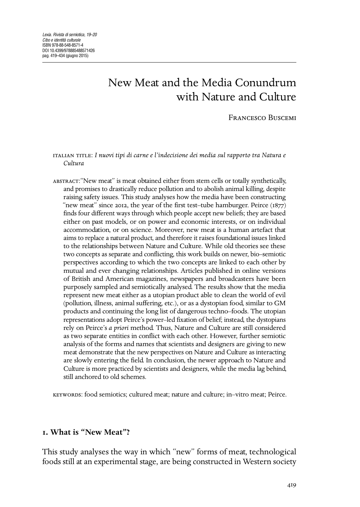# New Meat and the Media Conundrum with Nature and Culture

**FRANCESCO BUSCEMI** 

 : *I nuovi tipi di carne e l'indecisione dei media sul rapporto tra Natura e Cultura*

:"New meat" is meat obtained either from stem cells or totally synthetically, and promises to drastically reduce pollution and to abolish animal killing, despite raising safety issues. This study analyses how the media have been constructing "new meat" since 2012, the year of the first test–tube hamburger. Peirce  $(1877)$ finds four different ways through which people accept new beliefs; they are based either on past models, or on power and economic interests, or on individual accommodation, or on science. Moreover, new meat is a human artefact that aims to replace a natural product, and therefore it raises foundational issues linked to the relationships between Nature and Culture. While old theories see these two concepts as separate and conflicting, this work builds on newer, bio–semiotic perspectives according to which the two concepts are linked to each other by mutual and ever changing relationships. Articles published in online versions of British and American magazines, newspapers and broadcasters have been purposely sampled and semiotically analysed. The results show that the media represent new meat either as a utopian product able to clean the world of evil (pollution, illness, animal suffering, etc.), or as a dystopian food, similar to GM products and continuing the long list of dangerous techno–foods. The utopian representations adopt Peirce's power–led fixation of belief; instead, the dystopians rely on Peirce's *a priori* method. Thus, Nature and Culture are still considered as two separate entities in conflict with each other. However, further semiotic analysis of the forms and names that scientists and designers are giving to new meat demonstrate that the new perspectives on Nature and Culture as interacting are slowly entering the field. In conclusion, the newer approach to Nature and Culture is more practiced by scientists and designers, while the media lag behind, still anchored to old schemes.

: food semiotics; cultured meat; nature and culture; in–vitro meat; Peirce.

# **. What is "New Meat"?**

This study analyses the way in which "new" forms of meat, technological foods still at an experimental stage, are being constructed in Western society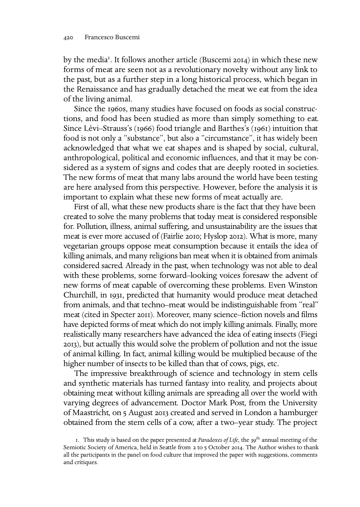by the media<sup>1</sup>. It follows another article (Buscemi 2014) in which these new forms of meat are seen not as a revolutionary novelty without any link to the past, but as a further step in a long historical process, which began in the Renaissance and has gradually detached the meat we eat from the idea of the living animal.

Since the 1960s, many studies have focused on foods as social constructions, and food has been studied as more than simply something to eat. Since Lévi–Strauss's (1966) food triangle and Barthes's (1961) intuition that food is not only a "substance", but also a "circumstance", it has widely been acknowledged that what we eat shapes and is shaped by social, cultural, anthropological, political and economic influences, and that it may be considered as a system of signs and codes that are deeply rooted in societies. The new forms of meat that many labs around the world have been testing are here analysed from this perspective. However, before the analysis it is important to explain what these new forms of meat actually are.

First of all, what these new products share is the fact that they have been created to solve the many problems that today meat is considered responsible for. Pollution, illness, animal suffering, and unsustainability are the issues that meat is ever more accused of (Fairlie 2010; Hyslop 2012). What is more, many vegetarian groups oppose meat consumption because it entails the idea of killing animals, and many religions ban meat when it is obtained from animals considered sacred. Already in the past, when technology was not able to deal with these problems, some forward–looking voices foresaw the advent of new forms of meat capable of overcoming these problems. Even Winston Churchill, in 1931, predicted that humanity would produce meat detached from animals, and that techno–meat would be indistinguishable from "real" meat (cited in Specter 2011). Moreover, many science–fiction novels and films have depicted forms of meat which do not imply killing animals. Finally, more realistically many researchers have advanced the idea of eating insects (Fiegi ), but actually this would solve the problem of pollution and not the issue of animal killing. In fact, animal killing would be multiplied because of the higher number of insects to be killed than that of cows, pigs, etc.

The impressive breakthrough of science and technology in stem cells and synthetic materials has turned fantasy into reality, and projects about obtaining meat without killing animals are spreading all over the world with varying degrees of advancement. Doctor Mark Post, from the University of Maastricht, on 5 August 2013 created and served in London a hamburger obtained from the stem cells of a cow, after a two–year study. The project

<sup>1.</sup> This study is based on the paper presented at *Paradoxes of Life*, the 39<sup>th</sup> annual meeting of the Semiotic Society of America, held in Seattle from 2 to 5 October 2014. The Author wishes to thank all the participants in the panel on food culture that improved the paper with suggestions, comments and critiques.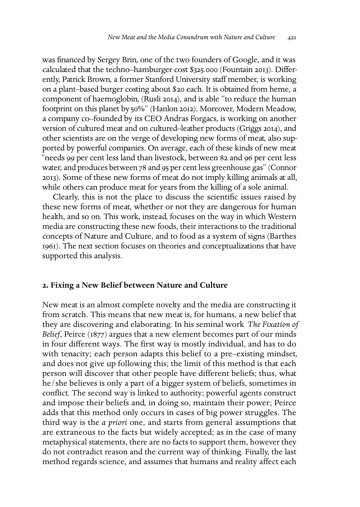was financed by Sergey Brin, one of the two founders of Google, and it was calculated that the techno–hamburger cost \$325.000 (Fountain 2013). Differently, Patrick Brown, a former Stanford University staff member, is working on a plant-based burger costing about \$20 each. It is obtained from heme, a component of haemoglobin, (Rusli 2014), and is able "to reduce the human footprint on this planet by 50%" (Hanlon 2012). Moreover, Modern Meadow, a company co–founded by its CEO Andras Forgacs, is working on another version of cultured meat and on cultured–leather products (Griggs 2014), and other scientists are on the verge of developing new forms of meat, also supported by powerful companies. On average, each of these kinds of new meat "needs 99 per cent less land than livestock, between 82 and 96 per cent less water, and produces between 78 and 95 per cent less greenhouse gas" (Connor ). Some of these new forms of meat do not imply killing animals at all, while others can produce meat for years from the killing of a sole animal.

Clearly, this is not the place to discuss the scientific issues raised by these new forms of meat, whether or not they are dangerous for human health, and so on. This work, instead, focuses on the way in which Western media are constructing these new foods, their interactions to the traditional concepts of Nature and Culture, and to food as a system of signs (Barthes ). The next section focuses on theories and conceptualizations that have supported this analysis.

### **. Fixing a New Belief between Nature and Culture**

New meat is an almost complete novelty and the media are constructing it from scratch. This means that new meat is, for humans, a new belief that they are discovering and elaborating. In his seminal work *The Fixation of Belief*, Peirce (1877) argues that a new element becomes part of our minds in four different ways. The first way is mostly individual, and has to do with tenacity; each person adapts this belief to a pre–existing mindset, and does not give up following this; the limit of this method is that each person will discover that other people have different beliefs; thus, what he/she believes is only a part of a bigger system of beliefs, sometimes in conflict. The second way is linked to authority; powerful agents construct and impose their beliefs and, in doing so, maintain their power; Peirce adds that this method only occurs in cases of big power struggles. The third way is the *a priori* one, and starts from general assumptions that are extraneous to the facts but widely accepted; as in the case of many metaphysical statements, there are no facts to support them, however they do not contradict reason and the current way of thinking. Finally, the last method regards science, and assumes that humans and reality affect each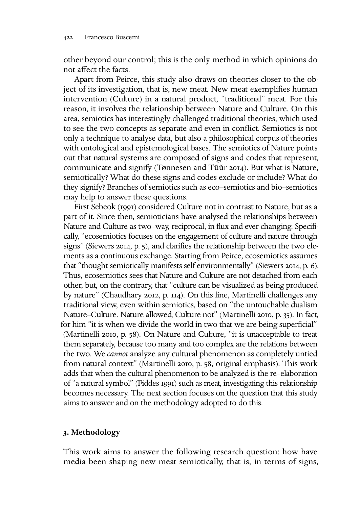other beyond our control; this is the only method in which opinions do not affect the facts.

Apart from Peirce, this study also draws on theories closer to the object of its investigation, that is, new meat. New meat exemplifies human intervention (Culture) in a natural product, "traditional" meat. For this reason, it involves the relationship between Nature and Culture. On this area, semiotics has interestingly challenged traditional theories, which used to see the two concepts as separate and even in conflict. Semiotics is not only a technique to analyse data, but also a philosophical corpus of theories with ontological and epistemological bases. The semiotics of Nature points out that natural systems are composed of signs and codes that represent, communicate and signify (Tønnesen and Tũũr 2014). But what is Nature, semiotically? What do these signs and codes exclude or include? What do they signify? Branches of semiotics such as eco–semiotics and bio–semiotics may help to answer these questions.

First Sebeok (1991) considered Culture not in contrast to Nature, but as a part of it. Since then, semioticians have analysed the relationships between Nature and Culture as two–way, reciprocal, in flux and ever changing. Specifically, "ecosemiotics focuses on the engagement of culture and nature through signs" (Siewers 2014, p. 5), and clarifies the relationship between the two elements as a continuous exchange. Starting from Peirce, ecosemiotics assumes that "thought semiotically manifests self environmentally" (Siewers 2014, p. 6). Thus, ecosemiotics sees that Nature and Culture are not detached from each other, but, on the contrary, that "culture can be visualized as being produced by nature" (Chaudhary 2012, p. 114). On this line, Martinelli challenges any traditional view, even within semiotics, based on "the untouchable dualism Nature–Culture. Nature allowed, Culture not" (Martinelli 2010, p. 35). In fact, for him "it is when we divide the world in two that we are being superficial" (Martinelli 2010, p. 58). On Nature and Culture, "it is unacceptable to treat them separately, because too many and too complex are the relations between the two. We *cannot* analyze any cultural phenomenon as completely untied from natural context" (Martinelli 2010, p. 58, original emphasis). This work adds that when the cultural phenomenon to be analyzed is the re–elaboration of "a natural symbol" (Fiddes 1991) such as meat, investigating this relationship becomes necessary. The next section focuses on the question that this study aims to answer and on the methodology adopted to do this.

# **. Methodology**

This work aims to answer the following research question: how have media been shaping new meat semiotically, that is, in terms of signs,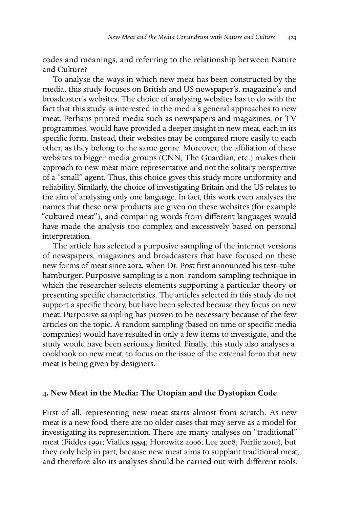codes and meanings, and referring to the relationship between Nature and Culture?

To analyse the ways in which new meat has been constructed by the media, this study focuses on British and US newspaper's, magazine's and broadcaster's websites. The choice of analysing websites has to do with the fact that this study is interested in the media's general approaches to new meat. Perhaps printed media such as newspapers and magazines, or TV programmes, would have provided a deeper insight in new meat, each in its specific form. Instead, their websites may be compared more easily to each other, as they belong to the same genre. Moreover, the affiliation of these websites to bigger media groups (CNN, The Guardian, etc.) makes their approach to new meat more representative and not the solitary perspective of a "small" agent. Thus, this choice gives this study more uniformity and reliability. Similarly, the choice of investigating Britain and the US relates to the aim of analysing only one language. In fact, this work even analyses the names that these new products are given on these websites (for example "cultured meat"), and comparing words from different languages would have made the analysis too complex and excessively based on personal interpretation.

The article has selected a purposive sampling of the internet versions of newspapers, magazines and broadcasters that have focused on these new forms of meat since 2012, when Dr. Post first announced his test-tube hamburger. Purposive sampling is a non–random sampling technique in which the researcher selects elements supporting a particular theory or presenting specific characteristics. The articles selected in this study do not support a specific theory, but have been selected because they focus on new meat. Purposive sampling has proven to be necessary because of the few articles on the topic. A random sampling (based on time or specific media companies) would have resulted in only a few items to investigate, and the study would have been seriously limited. Finally, this study also analyses a cookbook on new meat, to focus on the issue of the external form that new meat is being given by designers.

#### **. New Meat in the Media: The Utopian and the Dystopian Code**

First of all, representing new meat starts almost from scratch. As new meat is a new food, there are no older cases that may serve as a model for investigating its representation. There are many analyses on "traditional" meat (Fiddes 1991; Vialles 1994; Horowitz 2006; Lee 2008; Fairlie 2010), but they only help in part, because new meat aims to supplant traditional meat, and therefore also its analyses should be carried out with different tools.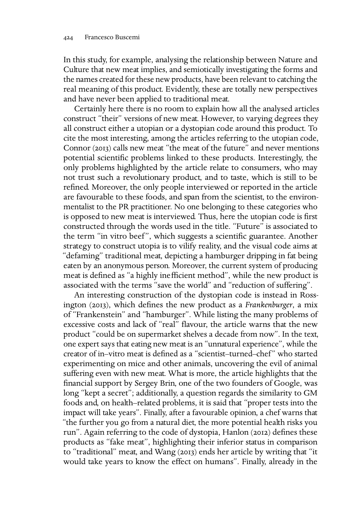In this study, for example, analysing the relationship between Nature and Culture that new meat implies, and semiotically investigating the forms and the names created for these new products, have been relevant to catching the real meaning of this product. Evidently, these are totally new perspectives and have never been applied to traditional meat.

Certainly here there is no room to explain how all the analysed articles construct "their" versions of new meat. However, to varying degrees they all construct either a utopian or a dystopian code around this product. To cite the most interesting, among the articles referring to the utopian code, Connor (2013) calls new meat "the meat of the future" and never mentions potential scientific problems linked to these products. Interestingly, the only problems highlighted by the article relate to consumers, who may not trust such a revolutionary product, and to taste, which is still to be refined. Moreover, the only people interviewed or reported in the article are favourable to these foods, and span from the scientist, to the environmentalist to the PR practitioner. No one belonging to these categories who is opposed to new meat is interviewed. Thus, here the utopian code is first constructed through the words used in the title. "Future" is associated to the term "in vitro beef ", which suggests a scientific guarantee. Another strategy to construct utopia is to vilify reality, and the visual code aims at "defaming" traditional meat, depicting a hamburger dripping in fat being eaten by an anonymous person. Moreover, the current system of producing meat is defined as "a highly inefficient method", while the new product is associated with the terms "save the world" and "reduction of suffering".

An interesting construction of the dystopian code is instead in Rossington (2013), which defines the new product as a *Frankenburger*, a mix of "Frankenstein" and "hamburger". While listing the many problems of excessive costs and lack of "real" flavour, the article warns that the new product "could be on supermarket shelves a decade from now". In the text, one expert says that eating new meat is an "unnatural experience", while the creator of in–vitro meat is defined as a "scientist–turned–chef " who started experimenting on mice and other animals, uncovering the evil of animal suffering even with new meat. What is more, the article highlights that the financial support by Sergey Brin, one of the two founders of Google, was long "kept a secret"; additionally, a question regards the similarity to GM foods and, on health–related problems, it is said that "proper tests into the impact will take years". Finally, after a favourable opinion, a chef warns that "the further you go from a natural diet, the more potential health risks you run". Again referring to the code of dystopia, Hanlon (2012) defines these products as "fake meat", highlighting their inferior status in comparison to "traditional" meat, and Wang (2013) ends her article by writing that "it would take years to know the effect on humans". Finally, already in the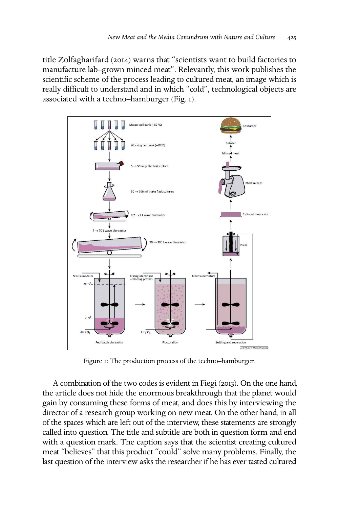title Zolfagharifard (2014) warns that "scientists want to build factories to manufacture lab–grown minced meat". Relevantly, this work publishes the scientific scheme of the process leading to cultured meat, an image which is really difficult to understand and in which "cold", technological objects are associated with a techno–hamburger (Fig. ).



Figure  $I$ : The production process of the techno-hamburger.

A combination of the two codes is evident in Fiegi  $(2013)$ . On the one hand, the article does not hide the enormous breakthrough that the planet would gain by consuming these forms of meat, and does this by interviewing the director of a research group working on new meat. On the other hand, in all of the spaces which are left out of the interview, these statements are strongly called into question. The title and subtitle are both in question form and end with a question mark. The caption says that the scientist creating cultured meat "believes" that this product "could" solve many problems. Finally, the last question of the interview asks the researcher if he has ever tasted cultured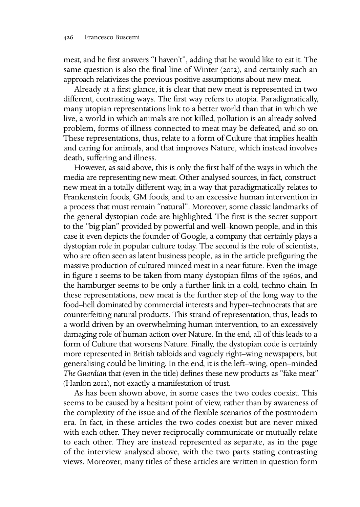meat, and he first answers "I haven't", adding that he would like to eat it. The same question is also the final line of Winter (2012), and certainly such an approach relativizes the previous positive assumptions about new meat.

Already at a first glance, it is clear that new meat is represented in two different, contrasting ways. The first way refers to utopia. Paradigmatically, many utopian representations link to a better world than that in which we live, a world in which animals are not killed, pollution is an already solved problem, forms of illness connected to meat may be defeated, and so on. These representations, thus, relate to a form of Culture that implies health and caring for animals, and that improves Nature, which instead involves death, suffering and illness.

However, as said above, this is only the first half of the ways in which the media are representing new meat. Other analysed sources, in fact, construct new meat in a totally different way, in a way that paradigmatically relates to Frankenstein foods, GM foods, and to an excessive human intervention in a process that must remain "natural". Moreover, some classic landmarks of the general dystopian code are highlighted. The first is the secret support to the "big plan" provided by powerful and well–known people, and in this case it even depicts the founder of Google, a company that certainly plays a dystopian role in popular culture today. The second is the role of scientists, who are often seen as latent business people, as in the article prefiguring the massive production of cultured minced meat in a near future. Even the image in figure I seems to be taken from many dystopian films of the 1960s, and the hamburger seems to be only a further link in a cold, techno chain. In these representations, new meat is the further step of the long way to the food–hell dominated by commercial interests and hyper–technocrats that are counterfeiting natural products. This strand of representation, thus, leads to a world driven by an overwhelming human intervention, to an excessively damaging role of human action over Nature. In the end, all of this leads to a form of Culture that worsens Nature. Finally, the dystopian code is certainly more represented in British tabloids and vaguely right–wing newspapers, but generalising could be limiting. In the end, it is the left–wing, open–minded *The Guardian* that (even in the title) defines these new products as "fake meat" (Hanlon 2012), not exactly a manifestation of trust.

As has been shown above, in some cases the two codes coexist. This seems to be caused by a hesitant point of view, rather than by awareness of the complexity of the issue and of the flexible scenarios of the postmodern era. In fact, in these articles the two codes coexist but are never mixed with each other. They never reciprocally communicate or mutually relate to each other. They are instead represented as separate, as in the page of the interview analysed above, with the two parts stating contrasting views. Moreover, many titles of these articles are written in question form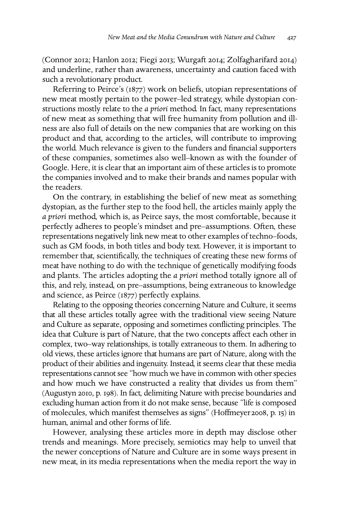(Connor 2012; Hanlon 2012; Fiegi 2013; Wurgaft 2014; Zolfagharifard 2014) and underline, rather than awareness, uncertainty and caution faced with such a revolutionary product.

Referring to Peirce's (1877) work on beliefs, utopian representations of new meat mostly pertain to the power–led strategy, while dystopian constructions mostly relate to the *a priori* method. In fact, many representations of new meat as something that will free humanity from pollution and illness are also full of details on the new companies that are working on this product and that, according to the articles, will contribute to improving the world. Much relevance is given to the funders and financial supporters of these companies, sometimes also well–known as with the founder of Google. Here, it is clear that an important aim of these articles is to promote the companies involved and to make their brands and names popular with the readers.

On the contrary, in establishing the belief of new meat as something dystopian, as the further step to the food hell, the articles mainly apply the *a priori* method, which is, as Peirce says, the most comfortable, because it perfectly adheres to people's mindset and pre–assumptions. Often, these representations negatively link new meat to other examples of techno–foods, such as GM foods, in both titles and body text. However, it is important to remember that, scientifically, the techniques of creating these new forms of meat have nothing to do with the technique of genetically modifying foods and plants. The articles adopting the *a priori* method totally ignore all of this, and rely, instead, on pre–assumptions, being extraneous to knowledge and science, as Peirce  $(1877)$  perfectly explains.

Relating to the opposing theories concerning Nature and Culture, it seems that all these articles totally agree with the traditional view seeing Nature and Culture as separate, opposing and sometimes conflicting principles. The idea that Culture is part of Nature, that the two concepts affect each other in complex, two–way relationships, is totally extraneous to them. In adhering to old views, these articles ignore that humans are part of Nature, along with the product of their abilities and ingenuity. Instead, it seems clear that these media representations cannot see "how much we have in common with other species and how much we have constructed a reality that divides us from them" (Augustyn 2010, p. 198). In fact, delimiting Nature with precise boundaries and excluding human action from it do not make sense, because "life is composed of molecules, which manifest themselves as signs" (Hoffmeyer 2008, p. 15) in human, animal and other forms of life.

However, analysing these articles more in depth may disclose other trends and meanings. More precisely, semiotics may help to unveil that the newer conceptions of Nature and Culture are in some ways present in new meat, in its media representations when the media report the way in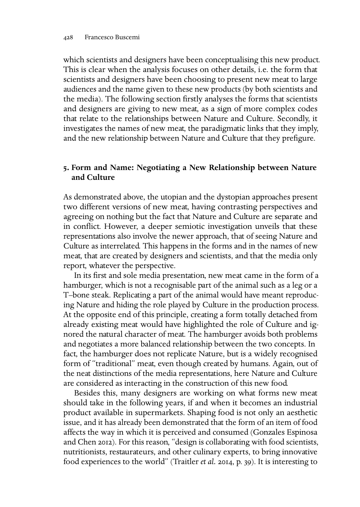which scientists and designers have been conceptualising this new product. This is clear when the analysis focuses on other details, i.e. the form that scientists and designers have been choosing to present new meat to large audiences and the name given to these new products (by both scientists and the media). The following section firstly analyses the forms that scientists and designers are giving to new meat, as a sign of more complex codes that relate to the relationships between Nature and Culture. Secondly, it investigates the names of new meat, the paradigmatic links that they imply, and the new relationship between Nature and Culture that they prefigure.

## **. Form and Name: Negotiating a New Relationship between Nature and Culture**

As demonstrated above, the utopian and the dystopian approaches present two different versions of new meat, having contrasting perspectives and agreeing on nothing but the fact that Nature and Culture are separate and in conflict. However, a deeper semiotic investigation unveils that these representations also involve the newer approach, that of seeing Nature and Culture as interrelated. This happens in the forms and in the names of new meat, that are created by designers and scientists, and that the media only report, whatever the perspective.

In its first and sole media presentation, new meat came in the form of a hamburger, which is not a recognisable part of the animal such as a leg or a T–bone steak. Replicating a part of the animal would have meant reproducing Nature and hiding the role played by Culture in the production process. At the opposite end of this principle, creating a form totally detached from already existing meat would have highlighted the role of Culture and ignored the natural character of meat. The hamburger avoids both problems and negotiates a more balanced relationship between the two concepts. In fact, the hamburger does not replicate Nature, but is a widely recognised form of "traditional" meat, even though created by humans. Again, out of the neat distinctions of the media representations, here Nature and Culture are considered as interacting in the construction of this new food.

Besides this, many designers are working on what forms new meat should take in the following years, if and when it becomes an industrial product available in supermarkets. Shaping food is not only an aesthetic issue, and it has already been demonstrated that the form of an item of food affects the way in which it is perceived and consumed (Gonzales Espinosa and Chen 2012). For this reason, "design is collaborating with food scientists, nutritionists, restaurateurs, and other culinary experts, to bring innovative food experiences to the world" (Traitler *et al.* 2014, p. 39). It is interesting to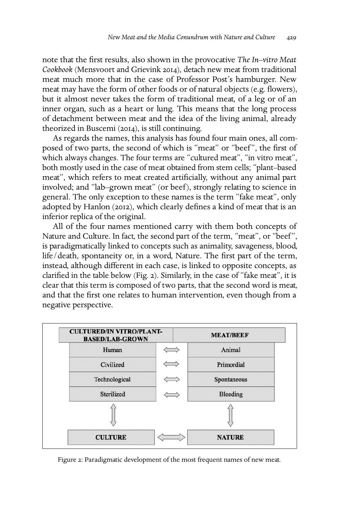note that the first results, also shown in the provocative *The In–vitro Meat Cookbook* (Mensvoort and Grievink 2014), detach new meat from traditional meat much more that in the case of Professor Post's hamburger. New meat may have the form of other foods or of natural objects (e.g. flowers), but it almost never takes the form of traditional meat, of a leg or of an inner organ, such as a heart or lung. This means that the long process of detachment between meat and the idea of the living animal, already theorized in Buscemi (2014), is still continuing.

As regards the names, this analysis has found four main ones, all composed of two parts, the second of which is "meat" or "beef", the first of which always changes. The four terms are "cultured meat", "in vitro meat", both mostly used in the case of meat obtained from stem cells; "plant–based meat", which refers to meat created artificially, without any animal part involved; and "lab–grown meat" (or beef), strongly relating to science in general. The only exception to these names is the term "fake meat", only adopted by Hanlon (2012), which clearly defines a kind of meat that is an inferior replica of the original.

All of the four names mentioned carry with them both concepts of Nature and Culture. In fact, the second part of the term, "meat", or "beef ", is paradigmatically linked to concepts such as animality, savageness, blood, life/death, spontaneity or, in a word, Nature. The first part of the term, instead, although different in each case, is linked to opposite concepts, as clarified in the table below (Fig. 2). Similarly, in the case of "fake meat", it is clear that this term is composed of two parts, that the second word is meat, and that the first one relates to human intervention, even though from a negative perspective.



Figure 2: Paradigmatic development of the most frequent names of new meat.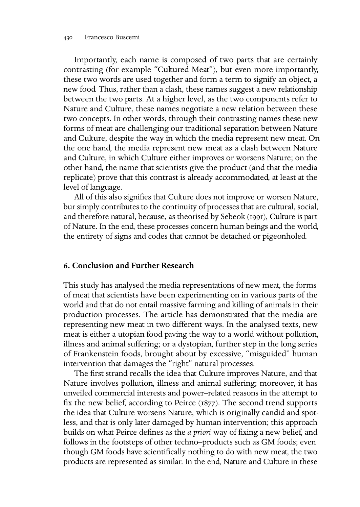Importantly, each name is composed of two parts that are certainly contrasting (for example "Cultured Meat"), but even more importantly, these two words are used together and form a term to signify an object, a new food. Thus, rather than a clash, these names suggest a new relationship between the two parts. At a higher level, as the two components refer to Nature and Culture, these names negotiate a new relation between these two concepts. In other words, through their contrasting names these new forms of meat are challenging our traditional separation between Nature and Culture, despite the way in which the media represent new meat. On the one hand, the media represent new meat as a clash between Nature and Culture, in which Culture either improves or worsens Nature; on the other hand, the name that scientists give the product (and that the media replicate) prove that this contrast is already accommodated, at least at the level of language.

All of this also signifies that Culture does not improve or worsen Nature, bur simply contributes to the continuity of processes that are cultural, social, and therefore natural, because, as theorised by Sebeok (1991), Culture is part of Nature. In the end, these processes concern human beings and the world, the entirety of signs and codes that cannot be detached or pigeonholed.

## **. Conclusion and Further Research**

This study has analysed the media representations of new meat, the forms of meat that scientists have been experimenting on in various parts of the world and that do not entail massive farming and killing of animals in their production processes. The article has demonstrated that the media are representing new meat in two different ways. In the analysed texts, new meat is either a utopian food paving the way to a world without pollution, illness and animal suffering; or a dystopian, further step in the long series of Frankenstein foods, brought about by excessive, "misguided" human intervention that damages the "right" natural processes.

The first strand recalls the idea that Culture improves Nature, and that Nature involves pollution, illness and animal suffering; moreover, it has unveiled commercial interests and power–related reasons in the attempt to fix the new belief, according to Peirce  $(1877)$ . The second trend supports the idea that Culture worsens Nature, which is originally candid and spotless, and that is only later damaged by human intervention; this approach builds on what Peirce defines as the *a priori* way of fixing a new belief, and follows in the footsteps of other techno–products such as GM foods; even though GM foods have scientifically nothing to do with new meat, the two products are represented as similar. In the end, Nature and Culture in these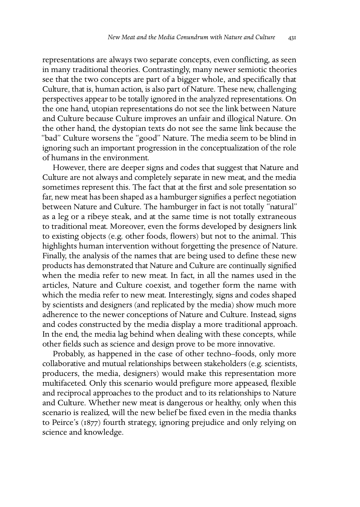representations are always two separate concepts, even conflicting, as seen in many traditional theories. Contrastingly, many newer semiotic theories see that the two concepts are part of a bigger whole, and specifically that Culture, that is, human action, is also part of Nature. These new, challenging perspectives appear to be totally ignored in the analyzed representations. On the one hand, utopian representations do not see the link between Nature and Culture because Culture improves an unfair and illogical Nature. On the other hand, the dystopian texts do not see the same link because the "bad" Culture worsens the "good" Nature. The media seem to be blind in ignoring such an important progression in the conceptualization of the role of humans in the environment.

However, there are deeper signs and codes that suggest that Nature and Culture are not always and completely separate in new meat, and the media sometimes represent this. The fact that at the first and sole presentation so far, new meat has been shaped as a hamburger signifies a perfect negotiation between Nature and Culture. The hamburger in fact is not totally "natural" as a leg or a ribeye steak, and at the same time is not totally extraneous to traditional meat. Moreover, even the forms developed by designers link to existing objects (e.g. other foods, flowers) but not to the animal. This highlights human intervention without forgetting the presence of Nature. Finally, the analysis of the names that are being used to define these new products has demonstrated that Nature and Culture are continually signified when the media refer to new meat. In fact, in all the names used in the articles, Nature and Culture coexist, and together form the name with which the media refer to new meat. Interestingly, signs and codes shaped by scientists and designers (and replicated by the media) show much more adherence to the newer conceptions of Nature and Culture. Instead, signs and codes constructed by the media display a more traditional approach. In the end, the media lag behind when dealing with these concepts, while other fields such as science and design prove to be more innovative.

Probably, as happened in the case of other techno–foods, only more collaborative and mutual relationships between stakeholders (e.g. scientists, producers, the media, designers) would make this representation more multifaceted. Only this scenario would prefigure more appeased, flexible and reciprocal approaches to the product and to its relationships to Nature and Culture. Whether new meat is dangerous or healthy, only when this scenario is realized, will the new belief be fixed even in the media thanks to Peirce's (1877) fourth strategy, ignoring prejudice and only relying on science and knowledge.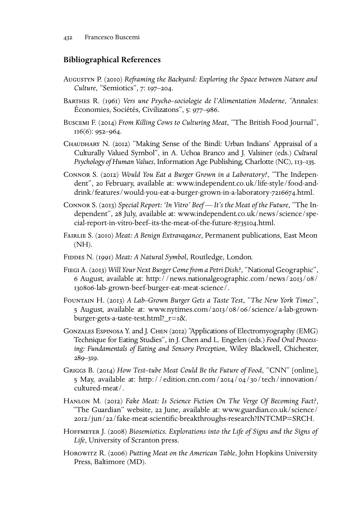## **Bibliographical References**

- AUGUSTYN P. (2010) Reframing the Backyard: Exploring the Space between Nature and *Culture*, "Semiotics", 7: 197-204.
- BARTHES R. (1961) Vers une Psycho–sociologie de l'Alimentation Moderne, "Annales: Économies, Sociétés, Civilizatons", 5: 977–986.
- BUSCEMI F. (2014) *From Killing Cows to Culturing Meat*, "The British Food Journal",  $II6(6)$ : 952-964.
- CHAUDHARY N. (2012) "Making Sense of the Bindì: Urban Indians' Appraisal of a Culturally Valued Symbol", in A. Uchoa Branco and J. Valsiner (eds.) *Cultural Psychology of Human Values*, Information Age Publishing, Charlotte (NC), 113–135.
- CONNOR S. (2012) *Would You Eat a Burger Grown in a Laboratory?*, "The Independent", 20 February, available at: [www.independent.co.uk/life-style/food-and](http://www.independent.co.uk/life-style/food-and-drink/features/would-you-eat-a-burger-grown-in-a-laboratory-7216674.html)[drink/features/would-you-eat-a-burger-grown-in-a-laboratory-](http://www.independent.co.uk/life-style/food-and-drink/features/would-you-eat-a-burger-grown-in-a-laboratory-7216674.html)7216674.html.
- CONNOR S. (2013) Special Report: 'In Vitro' Beef It's the Meat of the Future, "The Independent", 28 July, available at: [www.independent.co.uk/news/science/spe](http://www.independent.co.uk/news/science/special-report-in-vitro-beef--its-the-meat-of-the-future-8735104.html)[cial-report-in-vitro-beef–its-the-meat-of-the-future-](http://www.independent.co.uk/news/science/special-report-in-vitro-beef--its-the-meat-of-the-future-8735104.html)8735104.html.
- FAIRLIE S. (2010) Meat: A Benign Extravagance, Permanent publications, East Meon (NH).
- FIDDES N. (1991) Meat: A Natural Symbol, Routledge, London.
- FIEGI A. (2013) Will Your Next Burger Come from a Petri Dish?, "National Geographic", 6 August, available at: [http://news.nationalgeographic.com/news/](http://news.nationalgeographic.com/news/2013/08/130806-lab-grown-beef-burger-eat-meat-science/)2013/08/ 130806[-lab-grown-beef-burger-eat-meat-science/.](http://news.nationalgeographic.com/news/2013/08/130806-lab-grown-beef-burger-eat-meat-science/)
- FOUNTAIN H. (2013) A Lab–Grown Burger Gets a Taste Test, "The New York Times", 5 August, available at: www.nytimes.com/2013/08/06[/science/a-lab-grown](http://www.nytimes.com/2013/08/06/science/a-lab-grown-burger-gets-a-taste-test.html?_r=1&)[burger-gets-a-taste-test.html?\\_r=](http://www.nytimes.com/2013/08/06/science/a-lab-grown-burger-gets-a-taste-test.html?_r=1&)&.
- GONZALES ESPINOSA Y. and J. CHEN (2012) "Applications of Electromyography (EMG) Technique for Eating Studies", in J. Chen and L. Engelen (eds.) *Food Oral Processing: Fundamentals of Eating and Sensory Perception*, Wiley Blackwell, Chichester,  $289 - 319.$
- GRIGGS B. (2014) *How Test–tube Meat Could Be the Future of Food*, "CNN" [online], 5 May, available at: [http://edition.cnn.com/](http://edition.cnn.com/2014/04/30/tech/innovation/cultured-meat/)2014/04/30/tech/innovation/ [cultured-meat/.](http://edition.cnn.com/2014/04/30/tech/innovation/cultured-meat/)
- HANLON M. (2012) Fake Meat: Is Science Fiction On The Verge Of Becoming Fact?, "The Guardian" website, 22 June, available at: [www.guardian.co.uk/science/](http://www.guardian.co.uk/science/2012/jun/22/fake-meat-scientific-breakthroughs-research?INTCMP=SRCH) /jun/[/fake-meat-scientific-breakthroughs-research?INTCMP=SRCH.](http://www.guardian.co.uk/science/2012/jun/22/fake-meat-scientific-breakthroughs-research?INTCMP=SRCH)
- HOFFMEYER J. (2008) Biosemiotics. Explorations into the Life of Signs and the Signs of *Life*, University of Scranton press.
- Horowitz R. (2006) *Putting Meat on the American Table*, John Hopkins University Press, Baltimore (MD).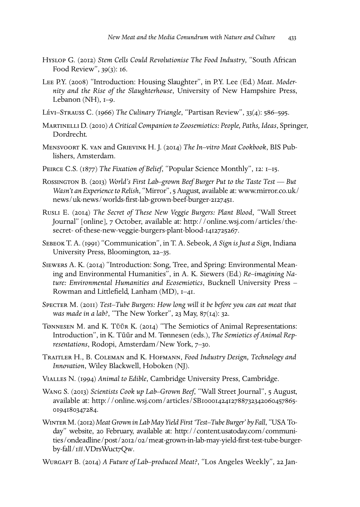- HYSLOP G. (2012) Stem Cells Could Revolutionise The Food Industry, "South African Food Review", 39(3): 16.
- LEE P.Y. (2008) "Introduction: Housing Slaughter", in P.Y. Lee (Ed.) Meat. Moder*nity and the Rise of the Slaughterhouse*, University of New Hampshire Press, Lebanon (NH),  $I=9$ .
- Lévi-S $\text{TRAUSS C. (1966)}$  The Culinary Triangle, "Partisan Review", 33(4): 586–595.
- MARTINELLI D. (2010) A Critical Companion to Zoosemiotics: People, Paths, Ideas, Springer, Dordrecht.
- MENSVOORT K. VAN and GRIEVINK H. J. (2014) The In-vitro Meat Cookbook, BIS Publishers, Amsterdam.
- PEIRCE C.S. (1877) The Fixation of Belief, "Popular Science Monthly", 12: 1–15.
- ROSSINGTON B. (2013) *World's First Lab-grown Beef Burger Put to the Taste Test* But *Wasn't an Experience to Relish*, "Mirror", 5 August, available at: [www.mirror.co.uk/](http://www.mirror.co.uk/news/uk-news/worlds-first-lab-grown-beef-burger-2127451) [news/uk-news/worlds-first-lab-grown-beef-burger-](http://www.mirror.co.uk/news/uk-news/worlds-first-lab-grown-beef-burger-2127451)2127451.
- RUSLI E. (2014) The Secret of These New Veggie Burgers: Plant Blood, "Wall Street Journal" [online], 7 October, available at: [http://online.wsj.com/articles/the](http://http://online.wsj.com/articles/the-secret-of-these-new-veggie-burgers-plant-blood-1412725267)[secret- of-these-new-veggie-burgers-plant-blood-](http://http://online.wsj.com/articles/the-secret-of-these-new-veggie-burgers-plant-blood-1412725267)1412725267.
- SEBEOK T. A. (1991) "Communication", in T. A. Sebeok, *A Sign is Just a Sign*, Indiana University Press, Bloomington, 22–35.
- SIEWERS A. K. (2014) "Introduction: Song, Tree, and Spring: Environmental Meaning and Environmental Humanities", in A. K. Siewers (Ed.) *Re–imagining Nature: Environmental Humanities and Ecosemiotics*, Bucknell University Press – Rowman and Littlefield, Lanham  $(MD)$ ,  $I-4I$ .
- SPECTER M. (2011) *Test–Tube Burgers: How long will it be before you can eat meat that was made in a lab?*, "The New Yorker", 23 May, 87(14): 32.
- TØNNESEN M. and K. TŨŨR K. (2014) "The Semiotics of Animal Representations: Introduction", in K. Tũũr and M. Tønnesen (eds.), The Semiotics of Animal Rep*resentations*, Rodopi, Amsterdam/New York, 7–30.
- TRAITLER H., B. COLEMAN and K. HOFMANN, Food Industry Design, Technology and *Innovation*, Wiley Blackwell, Hoboken (NJ).
- VIALLES N. (1994) Animal to Edible, Cambridge University Press, Cambridge.
- WANG S. (2013) Scientists Cook up Lab-Grown Beef, "Wall Street Journal", 5 August, available at: [http://online.wsj.com/articles/SB](http://http://online.wsj.com/articles/SB10001424127887323420604578650194180347284)1000142412788732342060457865-0194180347284.
- W M. ()*Meat Grown in Lab May Yield First 'Test–Tube Burger' by Fall*, "USA Today" website, 20 February, available at: [http://content.usatoday.com/communi-](http://http://content.usatoday.com/communities/ondeadline/post/2012/02/meat-grown-in-lab-may-yield-first-test-tube-burger-by-fall/1#.VDrsWuct7Qw)ties/ondeadline/post/2012/02[/meat-grown-in-lab-may-yield-first-test-tube-burge](http://http://content.usatoday.com/communities/ondeadline/post/2012/02/meat-grown-in-lab-may-yield-first-test-tube-burger-by-fall/1#.VDrsWuct7Qw)r-by-fall/1[#.VDrsWuct](http://http://content.usatoday.com/communities/ondeadline/post/2012/02/meat-grown-in-lab-may-yield-first-test-tube-burger-by-fall/1#.VDrsWuct7Qw)7Qw.
- WURGAFT B. (2014) A Future of Lab-produced Meat?, "Los Angeles Weekly", 22 Jan-